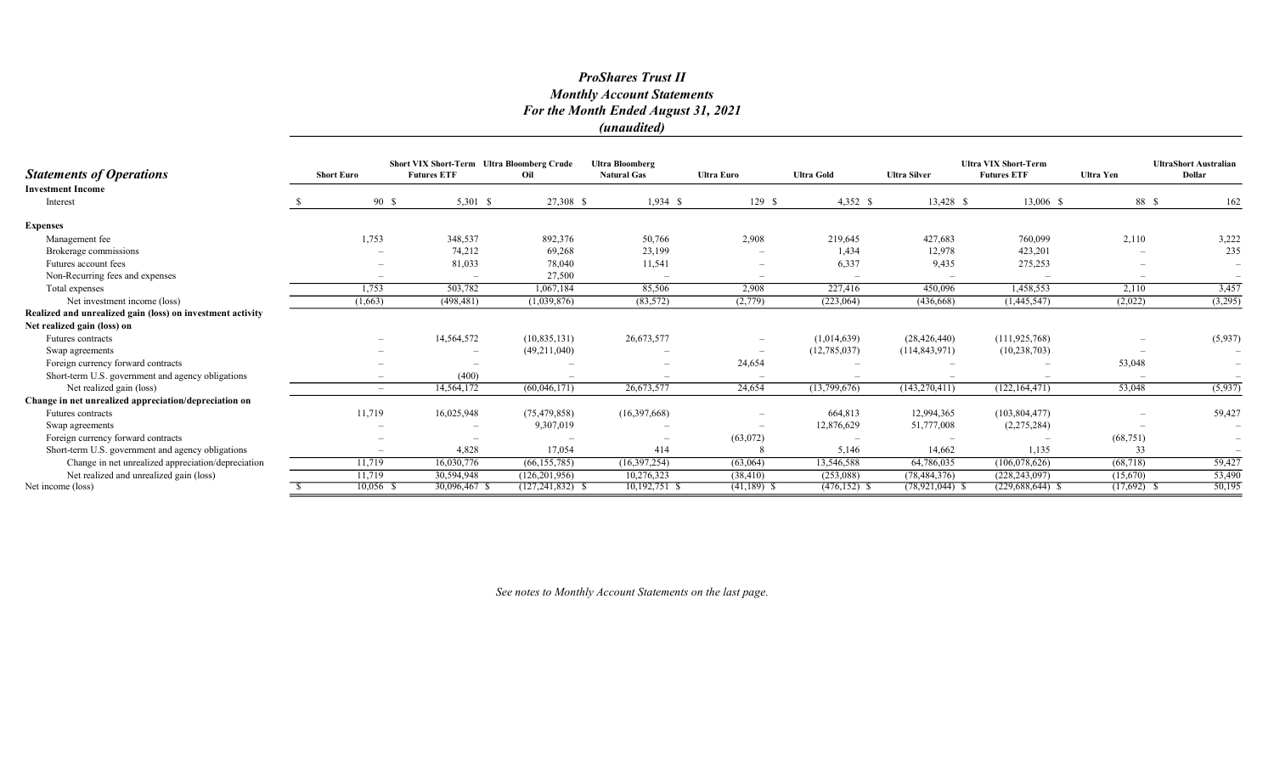## ProShares Trust II Monthly Account Statements For the Month Ended August 31, 2021 (unaudited)

|                                                            |                   | Short VIX Short-Term Ultra Bloomberg Crude |                      | <b>Ultra Bloomberg</b>   |                          |                   | <b>Ultra VIX Short-Term</b> |                    | <b>UltraShort Australian</b> |                          |
|------------------------------------------------------------|-------------------|--------------------------------------------|----------------------|--------------------------|--------------------------|-------------------|-----------------------------|--------------------|------------------------------|--------------------------|
| <b>Statements of Operations</b>                            | <b>Short Euro</b> | <b>Futures ETF</b>                         | Oil                  | <b>Natural Gas</b>       | <b>Ultra Euro</b>        | <b>Ultra Gold</b> | <b>Ultra Silver</b>         | <b>Futures ETF</b> | <b>Ultra Yen</b>             | Dollar                   |
| <b>Investment Income</b>                                   |                   |                                            |                      |                          |                          |                   |                             |                    |                              |                          |
| Interest                                                   | 90 \$             | 5,301 \$                                   | 27,308 \$            | $1,934$ \$               | 129S                     | $4,352$ \$        | 13,428 \$                   | 13,006 \$          | 88 \$                        | 162                      |
| <b>Expenses</b>                                            |                   |                                            |                      |                          |                          |                   |                             |                    |                              |                          |
| Management fee                                             | 1,753             | 348,537                                    | 892,376              | 50,766                   | 2,908                    | 219,645           | 427,683                     | 760,099            | 2,110                        | 3,222                    |
| Brokerage commissions                                      |                   | 74,212                                     | 69,268               | 23,199                   | $\overline{\phantom{a}}$ | 1,434             | 12,978                      | 423,201            |                              | 235                      |
| Futures account fees                                       |                   | 81,033                                     | 78,040               | 11,541                   | $\overline{\phantom{a}}$ | 6,337             | 9,435                       | 275,253            |                              | $\overline{\phantom{m}}$ |
| Non-Recurring fees and expenses                            |                   |                                            | 27,500               |                          | $\overline{\phantom{0}}$ |                   |                             |                    |                              |                          |
| Total expenses                                             | 1,753             | 503,782                                    | 1,067,184            | 85,506                   | 2,908                    | 227,416           | 450,096                     | 1,458,553          | 2,110                        | 3,457                    |
| Net investment income (loss)                               | (1,663)           | (498, 481)                                 | (1,039,876)          | (83, 572)                | (2,779)                  | (223,064)         | (436,668)                   | (1,445,547)        | (2,022)                      | (3,295)                  |
| Realized and unrealized gain (loss) on investment activity |                   |                                            |                      |                          |                          |                   |                             |                    |                              |                          |
| Net realized gain (loss) on                                |                   |                                            |                      |                          |                          |                   |                             |                    |                              |                          |
| <b>Futures</b> contracts                                   |                   | 14,564,572                                 | (10, 835, 131)       | 26,673,577               | $\qquad \qquad -$        | (1,014,639)       | (28, 426, 440)              | (111, 925, 768)    |                              | (5,937)                  |
| Swap agreements                                            |                   |                                            | (49,211,040)         |                          |                          | (12, 785, 037)    | (114, 843, 971)             | (10, 238, 703)     |                              |                          |
| Foreign currency forward contracts                         |                   | $\overline{\phantom{0}}$                   |                      | $\overline{\phantom{m}}$ | 24,654                   |                   |                             |                    | 53,048                       | $\overline{\phantom{m}}$ |
| Short-term U.S. government and agency obligations          |                   | (400)                                      |                      | $\overline{\phantom{0}}$ | $\overline{\phantom{a}}$ |                   |                             |                    |                              | $\overline{\phantom{m}}$ |
| Net realized gain (loss)                                   | $-$               | 14,564,172                                 | (60,046,171)         | 26,673,577               | 24,654                   | (13,799,676)      | (143, 270, 411)             | (122, 164, 471)    | 53,048                       | (5,937)                  |
| Change in net unrealized appreciation/depreciation on      |                   |                                            |                      |                          |                          |                   |                             |                    |                              |                          |
| <b>Futures</b> contracts                                   | 11,719            | 16,025,948                                 | (75, 479, 858)       | (16,397,668)             | $\overline{\phantom{m}}$ | 664,813           | 12,994,365                  | (103, 804, 477)    |                              | 59,427                   |
| Swap agreements                                            |                   |                                            | 9,307,019            |                          |                          | 12,876,629        | 51,777,008                  | (2,275,284)        |                              | $\overline{\phantom{a}}$ |
| Foreign currency forward contracts                         |                   | $\overline{\phantom{0}}$                   |                      |                          | (63,072)                 |                   |                             |                    | (68, 751)                    | $\overline{\phantom{a}}$ |
| Short-term U.S. government and agency obligations          |                   | 4.828                                      | 17,054               | 414                      |                          | 5,146             | 14,662                      | 1,135              | 33                           | $\overline{\phantom{m}}$ |
| Change in net unrealized appreciation/depreciation         | 11,719            | 16,030,776                                 | (66, 155, 785)       | (16,397,254)             | (63,064)                 | 13,546,588        | 64,786,035                  | (106,078,626)      | (68, 718)                    | 59,427                   |
| Net realized and unrealized gain (loss)                    | 11,719            | 30,594,948                                 | (126, 201, 956)      | 10,276,323               | (38, 410)                | (253,088)         | (78, 484, 376)              | (228, 243, 097)    | (15,670)                     | 53,490                   |
| Net income (loss)                                          | $10,056$ \$       | 30,096,467 \$                              | $(127, 241, 832)$ \$ | 10,192,751 \$            | $(41,189)$ \$            | $(476, 152)$ \$   | $(78, 921, 044)$ \$         | $(229,688,644)$ \$ | $(17,692)$ \$                | 50,195                   |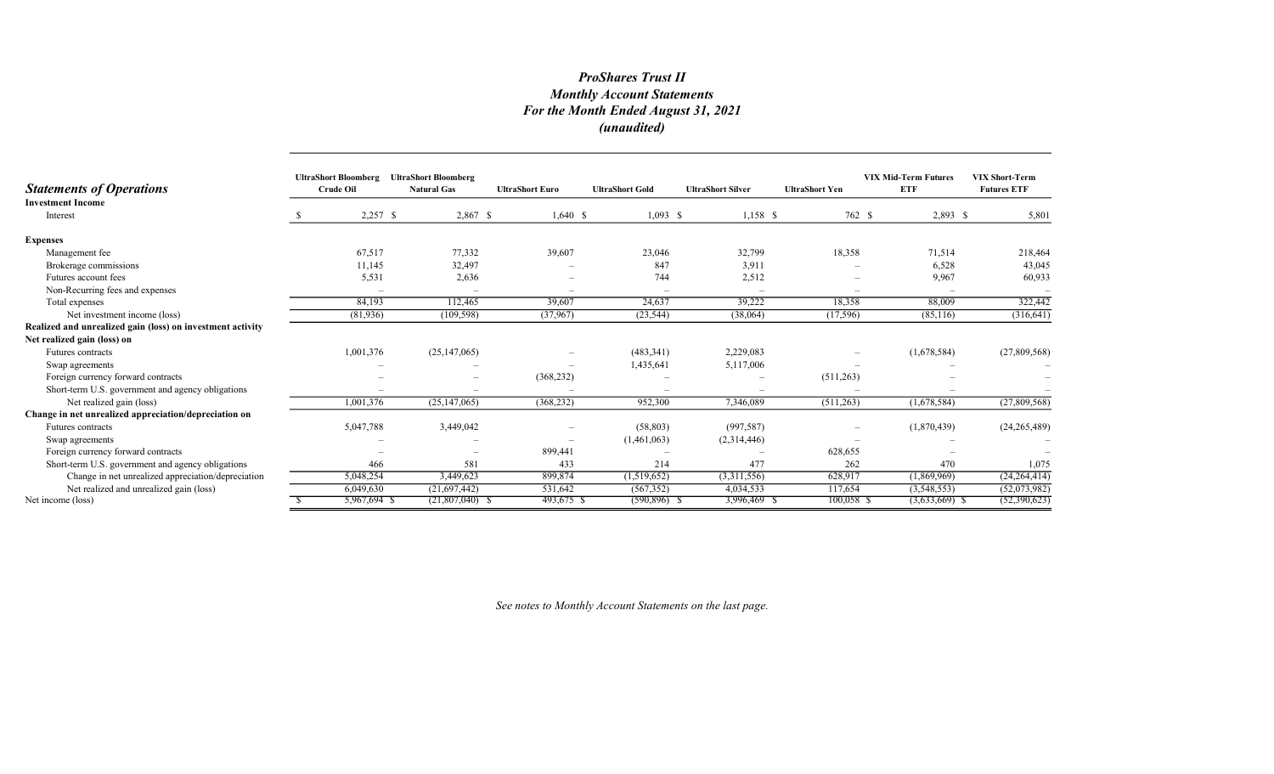# ProShares Trust II Monthly Account Statements For the Month Ended August 31, 2021 (unaudited)

| <b>Statements of Operations</b>                            | <b>UltraShort Bloomberg</b><br><b>Crude Oil</b> | <b>UltraShort Bloomberg</b><br><b>Natural Gas</b> | <b>UltraShort Euro</b> | <b>UltraShort Gold</b> | <b>UltraShort Silver</b> | <b>UltraShort Yen</b> | <b>VIX Mid-Term Futures</b><br><b>ETF</b> | <b>VIX Short-Term</b><br><b>Futures ETF</b> |
|------------------------------------------------------------|-------------------------------------------------|---------------------------------------------------|------------------------|------------------------|--------------------------|-----------------------|-------------------------------------------|---------------------------------------------|
| <b>Investment Income</b>                                   |                                                 |                                                   |                        |                        |                          |                       |                                           |                                             |
| Interest                                                   | $2,257$ \$                                      | 2,867 \$                                          | $1,640 \text{ }$ \$    | $1,093$ \$             | $1,158$ \$               | 762 \$                | $2,893$ \$                                | 5,801                                       |
| <b>Expenses</b>                                            |                                                 |                                                   |                        |                        |                          |                       |                                           |                                             |
| Management fee                                             | 67,517                                          | 77,332                                            | 39,607                 | 23,046                 | 32,799                   | 18,358                | 71,514                                    | 218,464                                     |
| Brokerage commissions                                      | 11,145                                          | 32,497                                            |                        | 847                    | 3,911                    |                       | 6,528                                     | 43,045                                      |
| Futures account fees                                       | 5,531                                           | 2,636                                             |                        | 744                    | 2,512                    |                       | 9,967                                     | 60,933                                      |
| Non-Recurring fees and expenses                            |                                                 |                                                   |                        |                        |                          |                       |                                           |                                             |
| Total expenses                                             | 84,193                                          | 112,465                                           | 39,607                 | 24,637                 | 39,222                   | 18,358                | 88,009                                    | 322,442                                     |
| Net investment income (loss)                               | (81,936)                                        | (109, 598)                                        | (37,967)               | (23, 544)              | (38,064)                 | (17, 596)             | (85,116)                                  | (316, 641)                                  |
| Realized and unrealized gain (loss) on investment activity |                                                 |                                                   |                        |                        |                          |                       |                                           |                                             |
| Net realized gain (loss) on                                |                                                 |                                                   |                        |                        |                          |                       |                                           |                                             |
| Futures contracts                                          | 1,001,376                                       | (25, 147, 065)                                    |                        | (483, 341)             | 2,229,083                |                       | (1,678,584)                               | (27,809,568)                                |
| Swap agreements                                            |                                                 |                                                   |                        | 1,435,641              | 5,117,006                |                       |                                           |                                             |
| Foreign currency forward contracts                         |                                                 |                                                   | (368, 232)             |                        |                          | (511, 263)            |                                           |                                             |
| Short-term U.S. government and agency obligations          |                                                 |                                                   |                        |                        |                          |                       |                                           |                                             |
| Net realized gain (loss)                                   | 1,001,376                                       | (25, 147, 065)                                    | (368, 232)             | 952,300                | 7,346,089                | (511,263)             | (1,678,584)                               | (27,809,568)                                |
| Change in net unrealized appreciation/depreciation on      |                                                 |                                                   |                        |                        |                          |                       |                                           |                                             |
| Futures contracts                                          | 5,047,788                                       | 3,449,042                                         |                        | (58, 803)              | (997, 587)               |                       | (1,870,439)                               | (24, 265, 489)                              |
| Swap agreements                                            |                                                 |                                                   |                        | (1,461,063)            | (2,314,446)              |                       |                                           |                                             |
| Foreign currency forward contracts                         |                                                 | $\overline{\phantom{a}}$                          | 899,441                |                        |                          | 628,655               |                                           |                                             |
| Short-term U.S. government and agency obligations          | 466                                             | 581                                               | 433                    | 214                    | 477                      | 262                   | 470                                       | 1,075                                       |
| Change in net unrealized appreciation/depreciation         | 5,048,254                                       | 3,449,623                                         | 899,874                | (1,519,652)            | (3,311,556)              | 628,917               | (1,869,969)                               | (24, 264, 414)                              |
| Net realized and unrealized gain (loss)                    | 6,049,630                                       | (21,697,442)                                      | 531,642                | (567, 352)             | 4,034,533                | 117,654               | (3,548,553)                               | (52,073,982)                                |
| Net income (loss)                                          | 5,967,694 \$                                    | $(21,807,040)$ \$                                 | 493,675 \$             | $(590, 896)$ \$        | 3,996,469 \$             | 100,058 \$            | $(3,633,669)$ \$                          | (52,390,623)                                |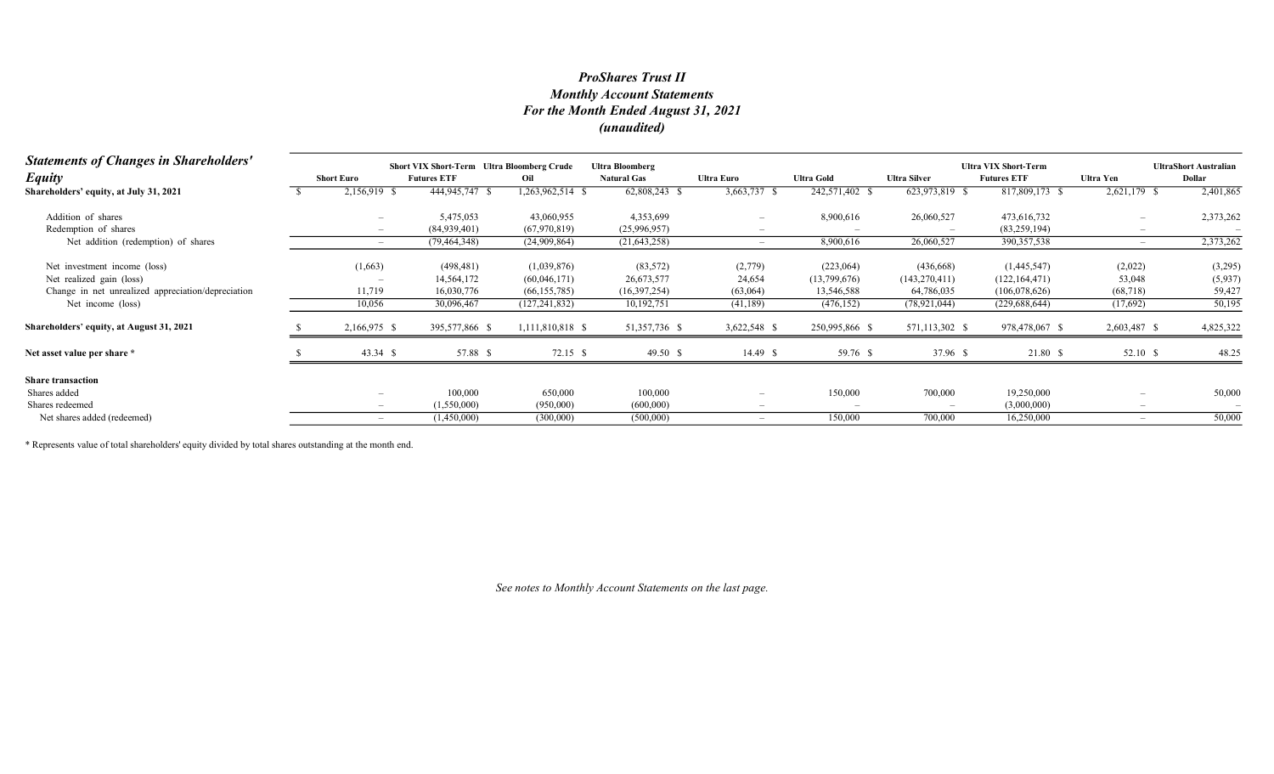## Monthly Account Statements For the Month Ended August 31, 2021 (unaudited) ProShares Trust II

| <b>Statements of Changes in Shareholders'</b>      | <b>Short VIX Short-Term</b> Ultra Bloomberg Crude<br><b>Ultra Bloomberg</b> |                    |                  |                    |                          |                   |                     | <b>Ultra VIX Short-Term</b> |              |                                        |
|----------------------------------------------------|-----------------------------------------------------------------------------|--------------------|------------------|--------------------|--------------------------|-------------------|---------------------|-----------------------------|--------------|----------------------------------------|
| <b>Equity</b>                                      | <b>Short Euro</b>                                                           | <b>Futures ETF</b> | Oil              | <b>Natural Gas</b> | <b>Ultra Euro</b>        | <b>Ultra Gold</b> | <b>Ultra Silver</b> | <b>Futures ETF</b>          | Ultra Yen    | <b>UltraShort Australian</b><br>Dollar |
| Shareholders' equity, at July 31, 2021             | 2,156,919 \$                                                                | 444,945,747 \$     | 1,263,962,514 \$ | 62,808,243         | 3,663,737                | 242,571,402 \$    | 623,973,819 \$      | 817,809,173 \$              | 2,621,179 \$ | 2,401,865                              |
| Addition of shares                                 |                                                                             | 5,475,053          | 43,060,955       | 4,353,699          | $\overline{\phantom{0}}$ | 8,900,616         | 26,060,527          | 473,616,732                 |              | 2,373,262                              |
| Redemption of shares                               |                                                                             | (84,939,401)       | (67,970,819)     | (25,996,957)       |                          |                   |                     | (83, 259, 194)              |              |                                        |
| Net addition (redemption) of shares                | $\overline{\phantom{0}}$                                                    | (79, 464, 348)     | (24,909,864)     | (21, 643, 258)     |                          | 8,900,616         | 26,060,527          | 390, 357, 538               |              | 2,373,262                              |
| Net investment income (loss)                       | (1,663)                                                                     | (498, 481)         | (1,039,876)      | (83, 572)          | (2,779)                  | (223,064)         | (436,668)           | (1,445,547)                 | (2,022)      | (3,295)                                |
| Net realized gain (loss)                           |                                                                             | 14,564,172         | (60,046,171)     | 26,673,577         | 24,654                   | (13,799,676)      | (143, 270, 411)     | (122, 164, 471)             | 53,048       | (5,937)                                |
| Change in net unrealized appreciation/depreciation | 11,719                                                                      | 16,030,776         | (66, 155, 785)   | (16,397,254)       | (63,064)                 | 13,546,588        | 64,786,035          | (106, 078, 626)             | (68, 718)    | 59,42                                  |
| Net income (loss)                                  | 10,056                                                                      | 30,096,467         | (127, 241, 832)  | 10,192,751         | (41, 189)                | (476, 152)        | (78, 921, 044)      | (229, 688, 644)             | (17,692)     | 50,195                                 |
| Shareholders' equity, at August 31, 2021           | 2,166,975 \$                                                                | 395,577,866 \$     | 1,111,810,818 \$ | 51,357,736 \$      | 3,622,548 \$             | 250,995,866 \$    | 571,113,302 \$      | 978,478,067 \$              | 2,603,487 \$ | 4,825,322                              |
| Net asset value per share *                        | 43.34 \$                                                                    | 57.88 \$           | $72.15$ \$       | 49.50 \$           | 14.49 \$                 | 59.76 \$          | 37.96 \$            | 21.80 \$                    | 52.10 \$     | 48.25                                  |
| <b>Share transaction</b>                           |                                                                             |                    |                  |                    |                          |                   |                     |                             |              |                                        |
| Shares added                                       |                                                                             | 100,000            | 650,000          | 100,000            | $\overline{\phantom{a}}$ | 150,000           | 700,000             | 19,250,000                  |              | 50,000                                 |
| Shares redeemed                                    |                                                                             | (1,550,000)        | (950,000)        | (600,000)          |                          |                   |                     | (3,000,000)                 |              |                                        |
| Net shares added (redeemed)                        |                                                                             | (1,450,000)        | (300,000)        | (500,000)          | $\overline{\phantom{0}}$ | 150,000           | 700,000             | 16,250,000                  |              | 50,000                                 |

\* Represents value of total shareholders' equity divided by total shares outstanding at the month end.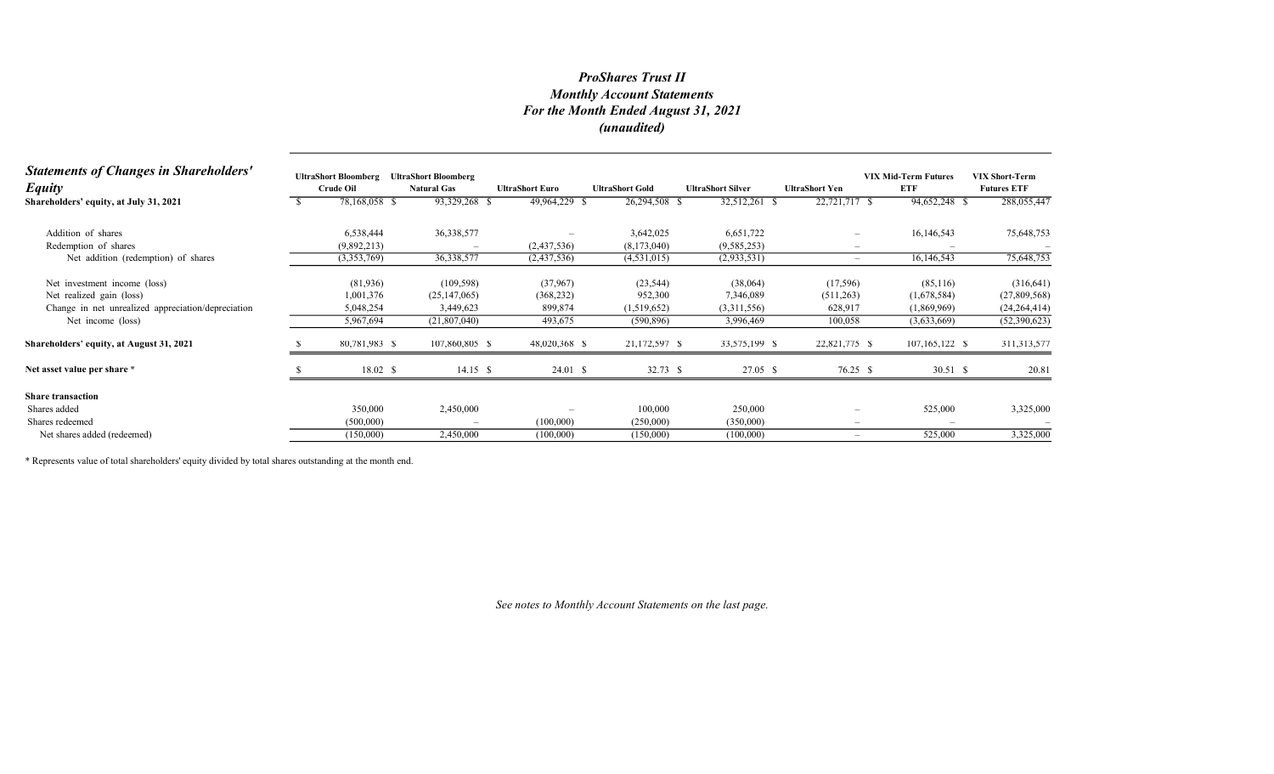## Monthly Account Statements For the Month Ended August 31, 2021 (unaudited) ProShares Trust II

| <b>Statements of Changes in Shareholders'</b><br><b>Equity</b> | <b>UltraShort Bloomberg</b><br><b>Crude Oil</b> | <b>UltraShort Bloomberg</b><br><b>Natural Gas</b> | <b>UltraShort Euro</b> | <b>UltraShort Gold</b> | <b>UltraShort Silver</b> | <b>UltraShort Yen</b>           | <b>VIX Mid-Term Futures</b><br>ETF | <b>VIX Short-Term</b><br><b>Futures ETF</b> |
|----------------------------------------------------------------|-------------------------------------------------|---------------------------------------------------|------------------------|------------------------|--------------------------|---------------------------------|------------------------------------|---------------------------------------------|
| Shareholders' equity, at July 31, 2021                         | 78,168,058 \$                                   | 93,329,268 \$                                     | 49,964,229 \$          | 26,294,508 \$          | 32,512,261 \$            | 22,721,717 \$                   | 94,652,248 \$                      | 288,055,447                                 |
| Addition of shares                                             | 6,538,444                                       | 36,338,577                                        |                        | 3,642,025              | 6,651,722                | $\overline{\phantom{0}}$        | 16,146,543                         | 75,648,753                                  |
| Redemption of shares                                           | (9,892,213)                                     |                                                   | (2,437,536)            | (8,173,040)            | (9, 585, 253)            | -                               |                                    |                                             |
| Net addition (redemption) of shares                            | (3,353,769)                                     | 36,338,577                                        | (2,437,536)            | (4,531,015)            | (2,933,531)              | $\hspace{0.1mm}-\hspace{0.1mm}$ | 16,146,543                         | 75,648,753                                  |
| Net investment income (loss)                                   | (81,936)                                        | (109, 598)                                        | (37,967)               | (23, 544)              | (38,064)                 | (17, 596)                       | (85,116)                           | (316, 641)                                  |
| Net realized gain (loss)                                       | 1,001,376                                       | (25, 147, 065)                                    | (368, 232)             | 952,300                | 7,346,089                | (511,263)                       | (1,678,584)                        | (27,809,568)                                |
| Change in net unrealized appreciation/depreciation             | 5,048,254                                       | 3,449,623                                         | 899,874                | (1,519,652)            | (3,311,556)              | 628,917                         | (1,869,969)                        | (24, 264, 414)                              |
| Net income (loss)                                              | 5,967,694                                       | (21,807,040)                                      | 493,675                | (590, 896)             | 3,996,469                | 100,058                         | (3,633,669)                        | (52,390,623)                                |
| Shareholders' equity, at August 31, 2021                       | 80,781,983 \$                                   | 107,860,805 \$                                    | 48,020,368 \$          | 21,172,597 \$          | 33,575,199 \$            | 22,821,775 \$                   | 107,165,122 \$                     | 311, 313, 577                               |
| Net asset value per share *                                    | 18.02 \$                                        | $14.15$ \$                                        | 24.01 S                | $32.73$ \$             | 27.05 S                  | 76.25 \$                        | 30.51 S                            | 20.81                                       |
| <b>Share transaction</b>                                       |                                                 |                                                   |                        |                        |                          |                                 |                                    |                                             |
| Shares added                                                   | 350,000                                         | 2,450,000                                         |                        | 100,000                | 250,000                  | $\overline{\phantom{0}}$        | 525,000                            | 3,325,000                                   |
| Shares redeemed                                                | (500,000)                                       |                                                   | (100,000)              | (250,000)              | (350,000)                | $\overline{\phantom{a}}$        |                                    |                                             |
| Net shares added (redeemed)                                    | (150,000)                                       | 2,450,000                                         | (100,000)              | (150,000)              | (100,000)                | $\overline{\phantom{a}}$        | 525,000                            | 3,325,000                                   |
|                                                                |                                                 |                                                   |                        |                        |                          |                                 |                                    |                                             |

\* Represents value of total shareholders' equity divided by total shares outstanding at the month end.